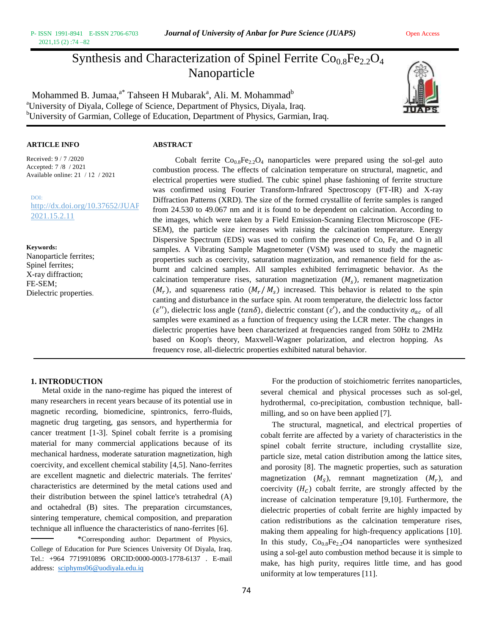# Synthesis and Characterization of Spinel Ferrite  $Co<sub>0.8</sub>Fe<sub>2.2</sub>O<sub>4</sub>$ Nanoparticle

Mohammed B. Jumaa, $^{\mathrm{a}^*}$  Tahseen H Mubarak $^{\mathrm{a}}$ , Ali. M. Mohammad $^{\mathrm{b}}$ <sup>a</sup>University of Diyala, College of Science, Department of Physics, Diyala, Iraq. <sup>b</sup>University of Garmian, College of Education, Department of Physics, Garmian, Iraq.



## **ARTICLE INFO ABSTRACT**

Received: 9 / 7 /2020 Accepted: 7 /8 / 2021 Available online: 21 / 12 / 2021

DO[I:](http://dx.doi.org/10.37652/JUAPS.2021.15.2.11) http://dx.doi.org/10.37652/JUAP [2021.15.2.11](http://dx.doi.org/10.37652/JUAPS.2021.15.2.11) 

**Keywords:** Nanoparticle ferrites; Spinel ferrites; X-ray diffraction; FE-SEM; Dielectric properties.

Cobalt ferrite  $Co_{0.8}Fe_{2.2}O_4$  nanoparticles were prepared using the sol-gel auto combustion process. The effects of calcination temperature on structural, magnetic, and electrical properties were studied. The cubic spinel phase fashioning of ferrite structure was confirmed using Fourier Transform-Infrared Spectroscopy (FT-IR) and X-ray Diffraction Patterns (XRD). The size of the formed crystallite of ferrite samples is ranged from 24.530 to 49.067 nm and it is found to be dependent on calcination. According to the images, which were taken by a Field Emission-Scanning Electron Microscope (FE-SEM), the particle size increases with raising the calcination temperature. Energy Dispersive Spectrum (EDS) was used to confirm the presence of Co, Fe, and O in all samples. A Vibrating Sample Magnetometer (VSM) was used to study the magnetic properties such as coercivity, saturation magnetization, and remanence field for the asburnt and calcined samples. All samples exhibited ferrimagnetic behavior. As the calcination temperature rises, saturation magnetization  $(M<sub>s</sub>)$ , remanent magnetization  $(M_r)$ , and squareness ratio  $(M_r / M_s)$  increased. This behavior is related to the spin canting and disturbance in the surface spin. At room temperature, the dielectric loss factor  $(\varepsilon'')$ , dielectric loss angle (tan $\delta$ ), dielectric constant  $(\varepsilon')$ , and the conductivity  $\sigma_{ac}$  of all samples were examined as a function of frequency using the LCR meter. The changes in dielectric properties have been characterized at frequencies ranged from 50Hz to 2MHz based on Koop's theory, Maxwell-Wagner polarization, and electron hopping. As frequency rose, all-dielectric properties exhibited natural behavior.

# **1. INTRODUCTION**

Metal oxide in the nano-regime has piqued the interest of many researchers in recent years because of its potential use in magnetic recording, biomedicine, spintronics, ferro-fluids, magnetic drug targeting, gas sensors, and hyperthermia for cancer treatment [1-3]. Spinel cobalt ferrite is a promising material for many commercial applications because of its mechanical hardness, moderate saturation magnetization, high coercivity, and excellent chemical stability [4,5]. Nano-ferrites are excellent magnetic and dielectric materials. The ferrites' characteristics are determined by the metal cations used and their distribution between the spinel lattice's tetrahedral (A) and octahedral (B) sites. The preparation circumstances, sintering temperature, chemical composition, and preparation technique all influence the characteristics of nano-ferrites [6].

\*Corresponding author: Department of Physics, College of Education for Pure Sciences University Of Diyala, Iraq. Tel.: +964 7719910896 ORCID:0000-0003-1778-6137 . E-mail address: [sciphyms06@uodiyala.edu.iq](mailto:sciphyms06@uodiyala.edu.iq)

particle size, metal cation distribution among the lattice sites, and porosity [8]. The magnetic properties, such as saturation magnetization  $(M<sub>s</sub>)$ , remnant magnetization  $(M<sub>r</sub>)$ , and

milling, and so on have been applied [7].

coercivity  $(H<sub>c</sub>)$  cobalt ferrite, are strongly affected by the increase of calcination temperature [9,10]. Furthermore, the dielectric properties of cobalt ferrite are highly impacted by cation redistributions as the calcination temperature rises, making them appealing for high-frequency applications [10]. In this study,  $Co_{0.8}Fe_{2.2}O4$  nanoparticles were synthesized using a sol-gel auto combustion method because it is simple to make, has high purity, requires little time, and has good uniformity at low temperatures [11].

For the production of stoichiometric ferrites nanoparticles, several chemical and physical processes such as sol-gel, hydrothermal, co-precipitation, combustion technique, ball-

The structural, magnetical, and electrical properties of cobalt ferrite are affected by a variety of characteristics in the spinel cobalt ferrite structure, including crystallite size,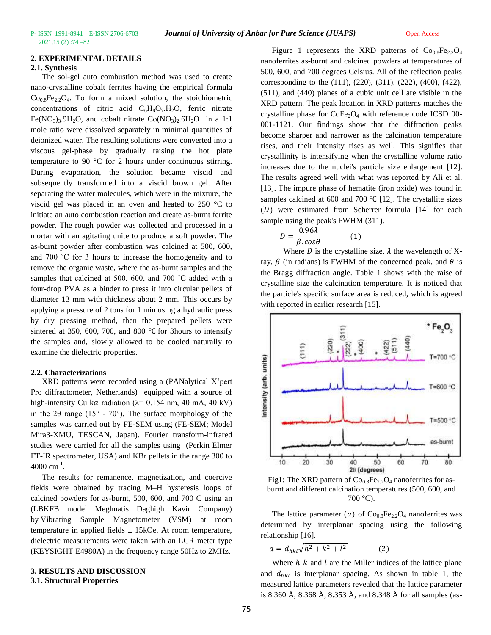### **2. EXPERIMENTAL DETAILS**

### **2.1. Synthesis**

The sol-gel auto combustion method was used to create nano-crystalline cobalt ferrites having the empirical formula  $Co<sub>0.8</sub>Fe<sub>2</sub>·O<sub>4</sub>$ . To form a mixed solution, the stoichiometric concentrations of citric acid  $C_6H_8O_7.H_2O$ , ferric nitrate Fe(NO<sub>3</sub>)<sub>3</sub>.9H<sub>2</sub>O, and cobalt nitrate Co(NO<sub>3</sub>)<sub>2</sub>.6H<sub>2</sub>O in a 1:1 mole ratio were dissolved separately in minimal quantities of deionized water. The resulting solutions were converted into a viscous gel-phase by gradually raising the hot plate temperature to 90 °C for 2 hours under continuous stirring. During evaporation, the solution became viscid and subsequently transformed into a viscid brown gel. After separating the water molecules, which were in the mixture, the viscid gel was placed in an oven and heated to 250 °C to initiate an auto combustion reaction and create as-burnt ferrite powder. The rough powder was collected and processed in a mortar with an agitating unite to produce a soft powder. The as-burnt powder after combustion was calcined at 500, 600, and 700 ˚C for 3 hours to increase the homogeneity and to remove the organic waste, where the as-burnt samples and the samples that calcined at 500, 600, and 700 °C added with a four-drop PVA as a binder to press it into circular pellets of diameter 13 mm with thickness about 2 mm. This occurs by applying a pressure of 2 tons for 1 min using a hydraulic press by dry pressing method, then the prepared pellets were sintered at 350, 600, 700, and 800 ℃ for 3hours to intensify the samples and, slowly allowed to be cooled naturally to examine the dielectric properties.

#### **2.2. Characterizations**

XRD patterns were recorded using a (PANalytical X'pert Pro diffractometer, Netherlands) equipped with a source of high-intensity Cu k $\alpha$  radiation ( $\lambda$ = 0.154 nm, 40 mA, 40 kV) in the 2 $\theta$  range (15 $\degree$  - 70 $\degree$ ). The surface morphology of the samples was carried out by FE-SEM using (FE-SEM; Model Mira3-XMU, TESCAN, Japan). Fourier transform-infrared studies were carried for all the samples using (Perkin Elmer FT-IR spectrometer, USA) and KBr pellets in the range 300 to  $4000 \text{ cm}^{-1}$ .

The results for remanence, magnetization, and coercive fields were obtained by tracing M–H hysteresis loops of calcined powders for as-burnt, 500, 600, and 700 C using an (LBKFB model Meghnatis Daghigh Kavir Company) by Vibrating Sample Magnetometer (VSM) at room temperature in applied fields  $\pm$  15kOe. At room temperature, dielectric measurements were taken with an LCR meter type (KEYSIGHT E4980A) in the frequency range 50Hz to 2MHz.

#### **3. RESULTS AND DISCUSSION 3.1. Structural Properties**

Figure 1 represents the XRD patterns of  $Co_{0.8}Fe_{2.2}O_4$ nanoferrites as-burnt and calcined powders at temperatures of 500, 600, and 700 degrees Celsius. All of the reflection peaks corresponding to the (111), (220), (311), (222), (400), (422), (511), and (440) planes of a cubic unit cell are visible in the XRD pattern. The peak location in XRD patterns matches the crystalline phase for  $\text{CoFe}_2\text{O}_4$  with reference code ICSD 00-001-1121. Our findings show that the diffraction peaks become sharper and narrower as the calcination temperature rises, and their intensity rises as well. This signifies that crystallinity is intensifying when the crystalline volume ratio increases due to the nuclei's particle size enlargement [12]. The results agreed well with what was reported by Ali et al. [13]. The impure phase of hematite (iron oxide) was found in samples calcined at 600 and 700 ℃ [12]. The crystallite sizes  $(D)$  were estimated from Scherrer formula [14] for each sample using the peak's FWHM (311).

$$
D = \frac{0.96\lambda}{\beta \cdot \cos\theta} \tag{1}
$$

Where D is the crystalline size,  $\lambda$  the wavelength of Xray,  $\beta$  (in radians) is FWHM of the concerned peak, and  $\theta$  is the Bragg diffraction angle. Table 1 shows with the raise of crystalline size the calcination temperature. It is noticed that the particle's specific surface area is reduced, which is agreed with reported in earlier research [15].



Fig1: The XRD pattern of  $Co<sub>0.8</sub>Fe<sub>2.2</sub>O<sub>4</sub>$  nanoferrites for asburnt and different calcination temperatures (500, 600, and  $700 °C$ ).

The lattice parameter (a) of  $Co<sub>0.8</sub>Fe<sub>2.2</sub>O<sub>4</sub>$  nanoferrites was determined by interplanar spacing using the following relationship [16].

 $a = d_{hkl}\sqrt{h^2 + k^2 + l}$  $(2)$ 

Where  $h, k$  and  $l$  are the Miller indices of the lattice plane and  $d_{hkl}$  is interplanar spacing. As shown in table 1, the measured lattice parameters revealed that the lattice parameter is 8.360 Å, 8.368 Å, 8.353 Å, and 8.348 Å for all samples (as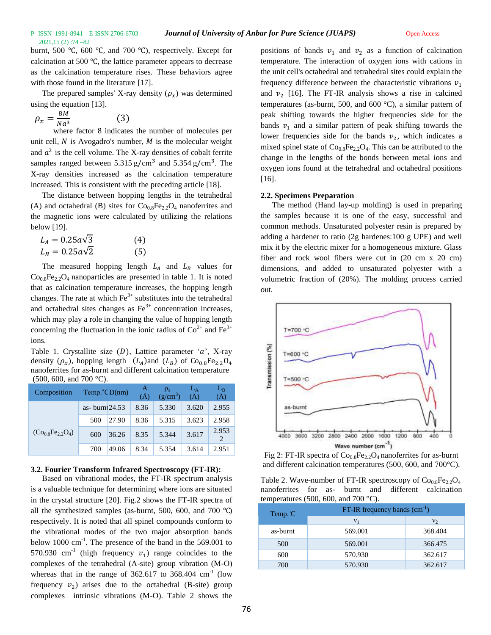burnt, 500 ℃, 600 ℃, and 700 ℃), respectively. Except for calcination at 500 ℃, the lattice parameter appears to decrease as the calcination temperature rises. These behaviors agree with those found in the literature [17].

The prepared samples' X-ray density  $(\rho_x)$  was determined using the equation [13].

$$
\rho_x = \frac{8M}{Na^3} \tag{3}
$$

where factor 8 indicates the number of molecules per unit cell,  $N$  is Avogadro's number,  $M$  is the molecular weight and  $a<sup>3</sup>$  is the cell volume. The X-ray densities of cobalt ferrite samples ranged between  $5.315$  g/cm<sup>3</sup> and  $5.354$  g/cm<sup>3</sup>. The X-ray densities increased as the calcination temperature increased. This is consistent with the preceding article [18].

The distance between hopping lengths in the tetrahedral (A) and octahedral (B) sites for  $Co<sub>0.8</sub>Fe<sub>2.2</sub>O<sub>4</sub>$  nanoferrites and the magnetic ions were calculated by utilizing the relations below [19].

| $L_A = 0.25 a \sqrt{3}$ | (4) |
|-------------------------|-----|
| $L_B = 0.25a\sqrt{2}$   | (5) |

The measured hopping length  $L_A$  and  $L_B$  values for  $Co<sub>0.8</sub>Fe<sub>2.2</sub>O<sub>4</sub>$  nanoparticles are presented in table 1. It is noted that as calcination temperature increases, the hopping length changes. The rate at which  $Fe<sup>3+</sup>$  substitutes into the tetrahedral and octahedral sites changes as  $Fe<sup>3+</sup>$  concentration increases, which may play a role in changing the value of hopping length concerning the fluctuation in the ionic radius of  $\text{Co}^{2+}$  and  $\text{Fe}^{3+}$ ions.

Table 1. Crystallite size  $(D)$ , Lattice parameter 'a', X-ray density  $(\rho_x)$ , hopping length  $(L_A)$  and  $(L_B)$  of Co<sub>0.8</sub>Fe<sub>2.2</sub>O<sub>4</sub> nanoferrites for as-burnt and different calcination temperature (500, 600, and 700 °C).

| Composition         | Temp. $\degree$ C D(nm) |       | A<br>$\mathring{A}$ | $(g/cm^3)$ | (A)   | $L_B$<br>(Å)            |
|---------------------|-------------------------|-------|---------------------|------------|-------|-------------------------|
| $(Co_0, Fe_2, O_4)$ | as- $burn 24.53$        |       | 8.36                | 5.330      | 3.620 | 2.955                   |
|                     | 500                     | 27.90 | 8.36                | 5.315      | 3.623 | 2.958                   |
|                     | 600                     | 36.26 | 8.35                | 5.344      | 3.617 | 2.953<br>$\overline{c}$ |
|                     | 700                     | 49.06 | 8.34                | 5.354      | 3.614 | 2.951                   |

### **3.2. Fourier Transform Infrared Spectroscopy (FT-IR):**

Based on vibrational modes, the FT-IR spectrum analysis is a valuable technique for determining where ions are situated in the crystal structure [20]. Fig.2 shows the FT-IR spectra of all the synthesized samples (as-burnt, 500, 600, and 700 ℃) respectively. It is noted that all spinel compounds conform to the vibrational modes of the two major absorption bands below  $1000 \text{ cm}^{-1}$ . The presence of the band in the 569.001 to 570.930 cm<sup>-1</sup> (high frequency  $v_1$ ) range coincides to the complexes of the tetrahedral (A-site) group vibration (M-O) whereas that in the range of  $362.617$  to  $368.404$  cm<sup>-1</sup> (low frequency  $v_2$ ) arises due to the octahedral (B-site) group complexes intrinsic vibrations (M-O). Table 2 shows the

positions of bands  $v_1$  and  $v_2$  as a function of calcination temperature. The interaction of oxygen ions with cations in the unit cell's octahedral and tetrahedral sites could explain the frequency difference between the characteristic vibrations  $v_1$ and  $v_2$  [16]. The FT-IR analysis shows a rise in calcined temperatures (as-burnt, 500, and 600 °C), a similar pattern of peak shifting towards the higher frequencies side for the bands  $v_1$  and a similar pattern of peak shifting towards the lower frequencies side for the bands  $v_2$ , which indicates a mixed spinel state of  $Co_{0.8}Fe_{2.2}O_4$ . This can be attributed to the change in the lengths of the bonds between metal ions and oxygen ions found at the tetrahedral and octahedral positions [16].

#### **2.2. Specimens Preparation**

The method (Hand lay-up molding) is used in preparing the samples because it is one of the easy, successful and common methods. Unsaturated polyester resin is prepared by adding a hardener to ratio (2g hardenes:100 g UPE) and well mix it by the electric mixer for a homogeneous mixture. Glass fiber and rock wool fibers were cut in (20 cm x 20 cm) dimensions, and added to unsaturated polyester with a volumetric fraction of (20%). The molding process carried out.



Fig 2: FT-IR spectra of  $Co_{0.8}Fe_{2.2}O_4$  nanoferrites for as-burnt and different calcination temperatures (500, 600, and 700°C).

Table 2. Wave-number of FT-IR spectroscopy of  $Co<sub>0.8</sub>Fe<sub>2.2</sub>O<sub>4</sub>$ nanoferrites for as- burnt and different calcination temperatures (500, 600, and 700  $^{\circ}$ C).

| Temp. $\mathbb C$ | FT-IR frequency bands $(cm-1)$ |                |  |  |
|-------------------|--------------------------------|----------------|--|--|
|                   | $v_{1}$                        | v <sub>2</sub> |  |  |
| as-burnt          | 569.001                        | 368.404        |  |  |
| 500               | 569.001                        | 366.475        |  |  |
| 600               | 570.930                        | 362.617        |  |  |
| 700               | 570.930                        | 362.617        |  |  |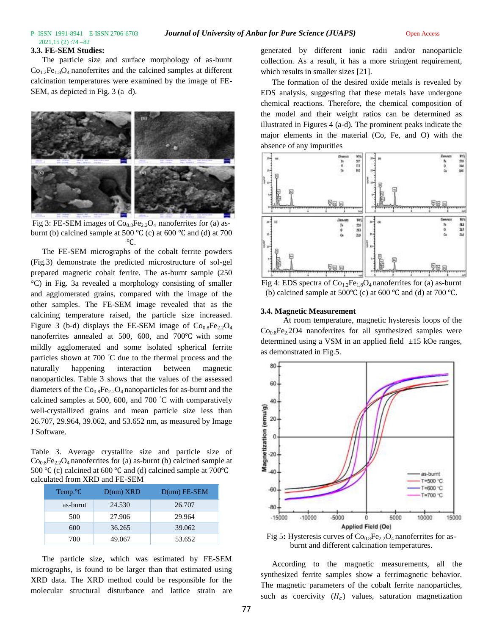# 2021,15 (2) :74 –82

#### **3.3. FE-SEM Studies:**

The particle size and surface morphology of as-burnt  $Co<sub>1.2</sub>Fe<sub>1.8</sub>O<sub>4</sub>$  nanoferrites and the calcined samples at different calcination temperatures were examined by the image of FE-SEM, as depicted in Fig. 3 (a–d).



Fig 3: FE-SEM images of  $Co_{0.8}Fe_{2.2}O_4$  nanoferrites for (a) asburnt (b) calcined sample at 500 °C (c) at 600 °C and (d) at 700 ℃.

The FE-SEM micrographs of the cobalt ferrite powders (Fig.3) demonstrate the predicted microstructure of sol-gel prepared magnetic cobalt ferrite. The as-burnt sample (250 °C) in Fig. 3a revealed a morphology consisting of smaller and agglomerated grains, compared with the image of the other samples. The FE-SEM image revealed that as the calcining temperature raised, the particle size increased. Figure 3 (b-d) displays the FE-SEM image of  $Co<sub>0.8</sub>Fe<sub>2.2</sub>O<sub>4</sub>$ nanoferrites annealed at 500, 600, and 700℃ with some mildly agglomerated and some isolated spherical ferrite particles shown at 700 ◦C due to the thermal process and the naturally happening interaction between magnetic nanoparticles. Table 3 shows that the values of the assessed diameters of the  $Co<sub>0.8</sub>Fe<sub>2.2</sub>O<sub>4</sub>$  nanoparticles for as-burnt and the calcined samples at 500, 600, and 700 ◦C with comparatively well-crystallized grains and mean particle size less than 26.707, 29.964, 39.062, and 53.652 nm, as measured by Image J Software.

Table 3. Average crystallite size and particle size of  $Co<sub>0.8</sub>Fe<sub>2.2</sub>O<sub>4</sub>$  nanoferrites for (a) as-burnt (b) calcined sample at 500 °C (c) calcined at 600 °C and (d) calcined sample at 700 °C calculated from XRD and FE-SEM

| Temp. <sup>o</sup> C | $D(nm)$ XRD | $D(nm)$ FE-SEM |
|----------------------|-------------|----------------|
| as-burnt             | 24.530      | 26.707         |
| 500                  | 27.906      | 29.964         |
| 600                  | 36.265      | 39.062         |
| 700                  | 49.067      | 53.652         |

The particle size, which was estimated by FE-SEM micrographs, is found to be larger than that estimated using XRD data. The XRD method could be responsible for the molecular structural disturbance and lattice strain are

generated by different ionic radii and/or nanoparticle collection. As a result, it has a more stringent requirement, which results in smaller sizes [21].

The formation of the desired oxide metals is revealed by EDS analysis, suggesting that these metals have undergone chemical reactions. Therefore, the chemical composition of the model and their weight ratios can be determined as illustrated in Figures 4 (a-d). The prominent peaks indicate the major elements in the material (Co, Fe, and O) with the absence of any impurities





#### **3.4. Magnetic Measurement**

At room temperature, magnetic hysteresis loops of the  $Co<sub>0.8</sub>Fe<sub>2</sub>2O4$  nanoferrites for all synthesized samples were determined using a VSM in an applied field  $\pm 15$  kOe ranges, as demonstrated in Fig.5.



Fig 5: Hysteresis curves of  $Co<sub>0.8</sub>Fe<sub>2.2</sub>O<sub>4</sub>$  nanoferrites for asburnt and different calcination temperatures.

According to the magnetic measurements, all the synthesized ferrite samples show a ferrimagnetic behavior. The magnetic parameters of the cobalt ferrite nanoparticles, such as coercivity  $(H<sub>c</sub>)$  values, saturation magnetization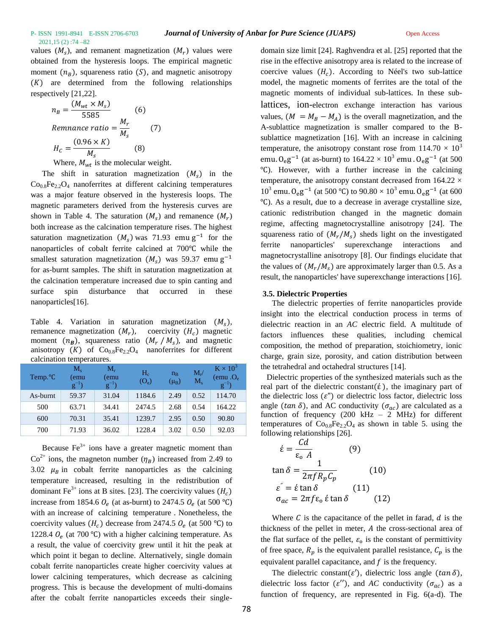# 2021,15 (2) :74 –82

values  $(M<sub>s</sub>)$ , and remanent magnetization  $(M<sub>r</sub>)$  values were obtained from the hysteresis loops. The empirical magnetic moment  $(n_B)$ , squareness ratio (S), and magnetic anisotropy  $(K)$  are determined from the following relationships respectively [21,22].

$$
n_B = \frac{(M_{wt} \times M_s)}{5585}
$$
 (6)  
Remnance ratio =  $\frac{M_r}{M_s}$  (7)  

$$
H_c = \frac{(0.96 \times K)}{M_s}
$$
 (8)

Where,  $M_{wt}$  is the molecular weight.

The shift in saturation magnetization  $(M<sub>s</sub>)$  in the  $Co<sub>0.8</sub>Fe<sub>2.2</sub>O<sub>4</sub>$  nanoferrites at different calcining temperatures was a major feature observed in the hysteresis loops. The magnetic parameters derived from the hysteresis curves are shown in Table 4. The saturation  $(M<sub>s</sub>)$  and remanence  $(M<sub>r</sub>)$ both increase as the calcination temperature rises. The highest saturation magnetization  $(M<sub>s</sub>)$  was 71.93 emu g<sup>-1</sup> for the nanoparticles of cobalt ferrite calcined at 700℃ while the smallest saturation magnetization  $(M<sub>s</sub>)$  was 59.37 emu g<sup>-1</sup> for as-burnt samples. The shift in saturation magnetization at the calcination temperature increased due to spin canting and surface spin disturbance that occurred in these nanoparticles[16].

Table 4. Variation in saturation magnetization  $(M_s)$ , remanence magnetization  $(M_r)$ , coercivity  $(H_c)$  magnetic moment  $(n_B)$ , squareness ratio  $(M_r / M_s)$ , and magnetic anisotropy  $(K)$  of  $Co<sub>0.8</sub>Fe<sub>2.2</sub>O<sub>4</sub>$  nanoferrites for different calcination temperatures.

| Temp. <sup>o</sup> C | $M_{\rm c}$<br>emu)<br>$g^{-}$ | $M_r$<br>(emu<br>$g^{-1}$ ) | $H_{\rm c}$<br>$(O_e)$ | $n_{B}$<br>$(\mu_{\rm B})$ | $M_{r}$<br>$M_{\rm c}$ | $K \times 10^3$<br>(emu. $O_e$<br>$g^{-1}$ |
|----------------------|--------------------------------|-----------------------------|------------------------|----------------------------|------------------------|--------------------------------------------|
| As-burnt             | 59.37                          | 31.04                       | 1184.6                 | 2.49                       | 0.52                   | 114.70                                     |
| 500                  | 63.71                          | 34.41                       | 2474.5                 | 2.68                       | 0.54                   | 164.22                                     |
| 600                  | 70.31                          | 35.41                       | 1239.7                 | 2.95                       | 0.50                   | 90.80                                      |
| 700                  | 71.93                          | 36.02                       | 1228.4                 | 3.02                       | 0.50                   | 92.03                                      |

Because  $Fe^{3+}$  ions have a greater magnetic moment than  $Co^{2+}$  ions, the magneton number  $(\eta_B)$  increased from 2.49 to 3.02  $\mu_B$  in cobalt ferrite nanoparticles as the calcining temperature increased, resulting in the redistribution of dominant Fe<sup>3+</sup> ions at B sites. [23]. The coercivity values  $(H<sub>c</sub>)$ increase from 1854.6  $O_e$  (at as-burnt) to 2474.5  $O_e$  (at 500 °C) with an increase of calcining temperature . Nonetheless, the coercivity values  $(H_c)$  decrease from 2474.5  $O_e$  (at 500 °C) to 1228.4  $O_e$  (at 700 °C) with a higher calcining temperature. As a result, the value of coercivity grew until it hit the peak at which point it began to decline. Alternatively, single domain cobalt ferrite nanoparticles create higher coercivity values at lower calcining temperatures, which decrease as calcining progress. This is because the development of multi-domains after the cobalt ferrite nanoparticles exceeds their singledomain size limit [24]. Raghvendra et al. [25] reported that the rise in the effective anisotropy area is related to the increase of coercive values  $(H<sub>c</sub>)$ . According to Néel's two sub-lattice model, the magnetic moments of ferrites are the total of the magnetic moments of individual sub-lattices. In these sublattices, ion-electron exchange interaction has various values,  $(M = M_B - M_A)$  is the overall magnetization, and the A-sublattice magnetization is smaller compared to the Bsublattice magnetization [16]. With an increase in calcining temperature, the anisotropy constant rose from  $114.70 \times 10^3$ emu.  $O_ee^{-1}$  (at as-burnt) to  $164.22 \times 10^3$  emu .  $O_ee^{-1}$  (at 500 ℃). However, with a further increase in the calcining temperature, the anisotropy constant decreased from  $164.22 \times$  $10^3$  emu. O<sub>e</sub>g<sup>-1</sup> (at 500 °C) to 90.80 × 10<sup>3</sup> emu. O<sub>e</sub>g<sup>-1</sup> (at 600 ℃). As a result, due to a decrease in average crystalline size, cationic redistribution changed in the magnetic domain regime, affecting magnetocrystalline anisotropy [24]. The squareness ratio of  $(M_r/M_s)$  sheds light on the investigated ferrite nanoparticles' superexchange interactions and magnetocrystalline anisotropy [8]. Our findings elucidate that the values of  $(M_r/M_s)$  are approximately larger than 0.5. As a result, the nanoparticles' have superexchange interactions [16].

#### **3.5. Dielectric Properties**

The dielectric properties of ferrite nanoparticles provide insight into the electrical conduction process in terms of dielectric reaction in an *AC* electric field. A multitude of factors influences these qualities, including chemical composition, the method of preparation, stoichiometry, ionic charge, grain size, porosity, and cation distribution between the tetrahedral and octahedral structures [14].

 Dielectric properties of the synthesized materials such as the real part of the dielectric constant( $\acute{\epsilon}$ ), the imaginary part of the dielectric loss  $(\varepsilon'')$  or dielectric loss factor, dielectric loss angle (tan  $\delta$ ), and AC conductivity ( $\sigma_{ac}$ ) are calculated as a function of frequency (200 kHz – 2 MHz) for different temperatures of  $Co<sub>0.8</sub>Fe<sub>2.2</sub>O<sub>4</sub>$  as shown in table 5. using the following relationships [26].

$$
\dot{\varepsilon} = \frac{Cd}{\varepsilon_o A}
$$
 (9)  
\n
$$
\tan \delta = \frac{1}{2\pi f R_p C_p}
$$
 (10)  
\n
$$
\varepsilon^{z} = \dot{\varepsilon} \tan \delta
$$
 (11)  
\n
$$
\sigma_{ac} = 2\pi f \varepsilon_o \dot{\varepsilon} \tan \delta
$$
 (12)

Where  $C$  is the capacitance of the pellet in farad,  $d$  is the thickness of the pellet in meter,  $A$  the cross-sectional area of the flat surface of the pellet,  $\varepsilon_0$  is the constant of permittivity of free space,  $R_p$  is the equivalent parallel resistance,  $C_p$  is the equivalent parallel capacitance, and  $f$  is the frequency.

The dielectric constant( $\varepsilon'$ ), dielectric loss angle ( $\tan \delta$ ), dielectric loss factor ( $\varepsilon$ "), and *AC* conductivity ( $\sigma_{ac}$ ) as a function of frequency, are represented in Fig. 6(a-d). The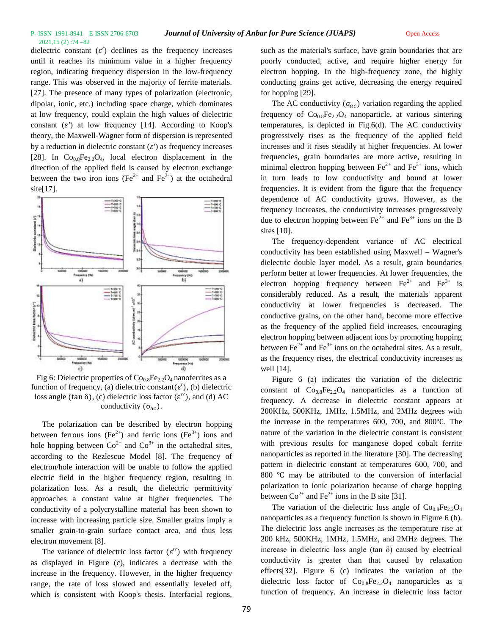dielectric constant  $(\varepsilon')$  declines as the frequency increases until it reaches its minimum value in a higher frequency region, indicating frequency dispersion in the low-frequency range. This was observed in the majority of ferrite materials. [27]. The presence of many types of polarization (electronic, dipolar, ionic, etc.) including space charge, which dominates at low frequency, could explain the high values of dielectric constant  $(\varepsilon')$  at low frequency [14]. According to Koop's theory, the Maxwell-Wagner form of dispersion is represented by a reduction in dielectric constant  $(\varepsilon')$  as frequency increases [28]. In  $Co<sub>0.8</sub>Fe<sub>2.2</sub>O<sub>4</sub>$ , local electron displacement in the direction of the applied field is caused by electron exchange between the two iron ions (Fe<sup>2+</sup> and Fe<sup>3+</sup>) at the octahedral site[17].



Fig 6: Dielectric properties of  $Co_{0.8}Fe_{2.2}O_4$  nanoferrites as a function of frequency, (a) dielectric constant( $\varepsilon'$ ), (b) dielectric loss angle (tan  $\delta$ ), (c) dielectric loss factor ( $\varepsilon$ "), and (d) AC conductivity  $(\sigma_{ac})$ .

The polarization can be described by electron hopping between ferrous ions (Fe<sup>2+</sup>) and ferric ions (Fe<sup>3+</sup>) ions and hole hopping between  $Co^{2+}$  and  $Co^{3+}$  in the octahedral sites, according to the Rezlescue Model [8]. The frequency of electron/hole interaction will be unable to follow the applied electric field in the higher frequency region, resulting in polarization loss. As a result, the dielectric permittivity approaches a constant value at higher frequencies. The conductivity of a polycrystalline material has been shown to increase with increasing particle size. Smaller grains imply a smaller grain-to-grain surface contact area, and thus less electron movement [8].

The variance of dielectric loss factor  $(\varepsilon'')$  with frequency as displayed in Figure (c), indicates a decrease with the increase in the frequency. However, in the higher frequency range, the rate of loss slowed and essentially leveled off, which is consistent with Koop's thesis. Interfacial regions,

such as the material's surface, have grain boundaries that are poorly conducted, active, and require higher energy for electron hopping. In the high-frequency zone, the highly conducting grains get active, decreasing the energy required for hopping [29].

The AC conductivity  $(\sigma_{ac})$  variation regarding the applied frequency of  $Co_{0.8}Fe_{2.2}O_4$  nanoparticle, at various sintering temperatures, is depicted in Fig.6(d). The AC conductivity progressively rises as the frequency of the applied field increases and it rises steadily at higher frequencies. At lower frequencies, grain boundaries are more active, resulting in minimal electron hopping between  $Fe^{2+}$  and  $Fe^{3+}$  ions, which in turn leads to low conductivity and bound at lower frequencies. It is evident from the figure that the frequency dependence of AC conductivity grows. However, as the frequency increases, the conductivity increases progressively due to electron hopping between  $\text{Fe}^{2+}$  and  $\text{Fe}^{3+}$  ions on the B sites [10].

The frequency-dependent variance of AC electrical conductivity has been established using Maxwell – Wagner's dielectric double layer model. As a result, grain boundaries perform better at lower frequencies. At lower frequencies, the electron hopping frequency between  $Fe^{2+}$  and  $Fe^{3+}$  is considerably reduced. As a result, the materials' apparent conductivity at lower frequencies is decreased. The conductive grains, on the other hand, become more effective as the frequency of the applied field increases, encouraging electron hopping between adjacent ions by promoting hopping between  $\text{Fe}^{2+}$  and  $\text{Fe}^{3+}$  ions on the octahedral sites. As a result, as the frequency rises, the electrical conductivity increases as well [14].

Figure 6 (a) indicates the variation of the dielectric constant of  $Co_{0.8}Fe_{2.2}O_4$  nanoparticles as a function of frequency. A decrease in dielectric constant appears at 200KHz, 500KHz, 1MHz, 1.5MHz, and 2MHz degrees with the increase in the temperatures 600, 700, and 800℃. The nature of the variation in the dielectric constant is consistent with previous results for manganese doped cobalt ferrite nanoparticles as reported in the literature [30]. The decreasing pattern in dielectric constant at temperatures 600, 700, and 800 ℃ may be attributed to the conversion of interfacial polarization to ionic polarization because of charge hopping between  $Co^{2+}$  and  $Fe^{2+}$  ions in the B site [31].

The variation of the dielectric loss angle of  $Co<sub>0.8</sub>Fe<sub>2.2</sub>O<sub>4</sub>$ nanoparticles as a frequency function is shown in Figure 6 (b). The dielectric loss angle increases as the temperature rise at 200 kHz, 500KHz, 1MHz, 1.5MHz, and 2MHz degrees. The increase in dielectric loss angle (tan δ) caused by electrical conductivity is greater than that caused by relaxation effects[32]. Figure 6 (c) indicates the variation of the dielectric loss factor of  $Co<sub>0.8</sub>Fe<sub>2.2</sub>O<sub>4</sub>$  nanoparticles as a function of frequency. An increase in dielectric loss factor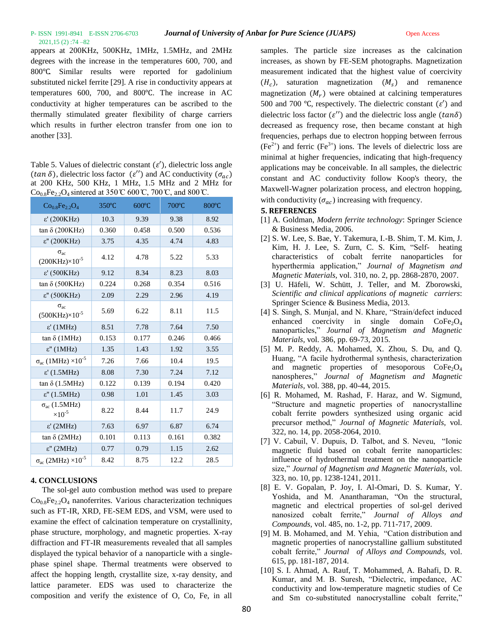appears at 200KHz, 500KHz, 1MHz, 1.5MHz, and 2MHz degrees with the increase in the temperatures 600, 700, and 800℃. Similar results were reported for gadolinium substituted nickel ferrite [29]. A rise in conductivity appears at temperatures 600, 700, and 800℃. The increase in AC conductivity at higher temperatures can be ascribed to the thermally stimulated greater flexibility of charge carriers which results in further electron transfer from one ion to another [33].

Table 5. Values of dielectric constant  $(\varepsilon')$ , dielectric loss angle (tan  $\delta$ ), dielectric loss factor ( $\varepsilon''$ ) and AC conductivity ( $\sigma_{ac}$ ) at 200 KHz, 500 KHz, 1 MHz, 1.5 MHz and 2 MHz for  $Co_{0.8}Fe_{2.2}O_4$  sintered at 350 °C 600 °C, 700 °C, and 800 °C.

| $Co_0$ <sub>s</sub> Fe <sub>22</sub> O <sub>4</sub> | 350°C | $600^{\circ}$ C | 700°C | 800°C |
|-----------------------------------------------------|-------|-----------------|-------|-------|
| $ε'$ (200KHz)                                       | 10.3  | 9.39            | 9.38  | 8.92  |
| tan $\delta$ (200KHz)                               | 0.360 | 0.458           | 0.500 | 0.536 |
| $ε''$ (200KHz)                                      | 3.75  | 4.35            | 4.74  | 4.83  |
| $\sigma_{ac}$<br>$(200KHz) \times 10^{-5}$          | 4.12  | 4.78            | 5.22  | 5.33  |
| $ε'$ (500KHz)                                       | 9.12  | 8.34            | 8.23  | 8.03  |
| tan $\delta$ (500KHz)                               | 0.224 | 0.268           | 0.354 | 0.516 |
| $ε$ " (500KHz)                                      | 2.09  | 2.29            | 2.96  | 4.19  |
| $\sigma_{ac}$<br>$(500KHz) \times 10^{-5}$          | 5.69  | 6.22            | 8.11  | 11.5  |
| $ε'$ (1MHz)                                         | 8.51  | 7.78            | 7.64  | 7.50  |
| $tan \delta$ (1MHz)                                 | 0.153 | 0.177           | 0.246 | 0.466 |
| $ε''$ (1MHz)                                        | 1.35  | 1.43            | 1.92  | 3.55  |
| $\sigma_{ac}$ (1MHz) $\times 10^{-5}$               | 7.26  | 7.66            | 10.4  | 19.5  |
| $ε'$ (1.5MHz)                                       | 8.08  | 7.30            | 7.24  | 7.12  |
| $tan \delta (1.5MHz)$                               | 0.122 | 0.139           | 0.194 | 0.420 |
| $\epsilon$ " (1.5MHz)                               | 0.98  | 1.01            | 1.45  | 3.03  |
| $\sigma_{ac}$ (1.5MHz)<br>$\times 10^{-5}$          | 8.22  | 8.44            | 11.7  | 24.9  |
| $ε'$ (2MHz)                                         | 7.63  | 6.97            | 6.87  | 6.74  |
| tan $\delta$ (2MHz)                                 | 0.101 | 0.113           | 0.161 | 0.382 |
| $ε''$ (2MHz)                                        | 0.77  | 0.79            | 1.15  | 2.62  |
| $\sigma_{ac}$ (2MHz) $\times 10^{-5}$               | 8.42  | 8.75            | 12.2  | 28.5  |

## **4. CONCLUSIONS**

The sol-gel auto combustion method was used to prepare  $Co<sub>0.8</sub>Fe<sub>2.2</sub>O<sub>4</sub>$  nanoferrites. Various characterization techniques such as FT-IR, XRD, FE-SEM EDS, and VSM, were used to examine the effect of calcination temperature on crystallinity, phase structure, morphology, and magnetic properties. X-ray diffraction and FT-IR measurements revealed that all samples displayed the typical behavior of a nanoparticle with a singlephase spinel shape. Thermal treatments were observed to affect the hopping length, crystallite size, x-ray density, and lattice parameter. EDS was used to characterize the composition and verify the existence of O, Co, Fe, in all

samples. The particle size increases as the calcination increases, as shown by FE-SEM photographs. Magnetization measurement indicated that the highest value of coercivity  $(H_c)$ , saturation magnetization  $(M_s)$  and remanence magnetization  $(M_r)$  were obtained at calcining temperatures 500 and 700 °C, respectively. The dielectric constant  $(\varepsilon')$  and dielectric loss factor ( $\varepsilon$ ") and the dielectric loss angle ( $tan\delta$ ) decreased as frequency rose, then became constant at high frequencies, perhaps due to electron hopping between ferrous  $(Fe^{2+})$  and ferric  $(Fe^{3+})$  ions. The levels of dielectric loss are minimal at higher frequencies, indicating that high-frequency applications may be conceivable. In all samples, the dielectric constant and AC conductivity follow Koop's theory, the Maxwell-Wagner polarization process, and electron hopping, with conductivity  $(\sigma_{ac})$  increasing with frequency.

#### **5. REFERENCES**

- [1] A. Goldman, *Modern ferrite technology*: Springer Science & Business Media, 2006.
- [2] S. W. Lee, S. Bae, Y. Takemura, I.-B. Shim, T. M. Kim, J. Kim, H. J. Lee, S. Zurn, C. S. Kim, "Self- heating characteristics of cobalt ferrite nanoparticles for hyperthermia application," *Journal of Magnetism and Magnetic Materials,* vol. 310, no. 2, pp. 2868-2870, 2007.
- [3] U. Häfeli, W. Schütt, J. Teller, and M. Zborowski, *Scientific and clinical applications of magnetic carriers*: Springer Science & Business Media, 2013.
- [4] S. Singh, S. Munjal, and N. Khare, "Strain/defect induced enhanced coercivity in single domain  $\text{CoFe}_2\text{O}_4$ nanoparticles," *Journal of Magnetism and Magnetic Materials,* vol. 386, pp. 69-73, 2015.
- [5] M. P. Reddy, A. Mohamed, X. Zhou, S. Du, and Q. Huang, "A facile hydrothermal synthesis, characterization and magnetic properties of mesoporous  $CoFe<sub>2</sub>O<sub>4</sub>$ nanospheres," *Journal of Magnetism and Magnetic Materials,* vol. 388, pp. 40-44, 2015.
- [6] R. Mohamed, M. Rashad, F. Haraz, and W. Sigmund, "Structure and magnetic properties of nanocrystalline cobalt ferrite powders synthesized using organic acid precursor method," *Journal of Magnetic Materials,* vol. 322, no. 14, pp. 2058-2064, 2010.
- [7] V. Cabuil, V. Dupuis, D. Talbot, and S. Neveu, "Ionic magnetic fluid based on cobalt ferrite nanoparticles: influence of hydrothermal treatment on the nanoparticle size," *Journal of Magnetism and Magnetic Materials,* vol. 323, no. 10, pp. 1238-1241, 2011.
- [8] E. V. Gopalan, P. Joy, I. Al-Omari, D. S. Kumar, Y. Yoshida, and M. Anantharaman, "On the structural, magnetic and electrical properties of sol-gel derived nanosized cobalt ferrite," *Journal of Alloys and Compounds,* vol. 485, no. 1-2, pp. 711-717, 2009.
- [9] M. B. Mohamed, and M. Yehia, "Cation distribution and magnetic properties of nanocrystalline gallium substituted cobalt ferrite," *Journal of Alloys and Compounds,* vol. 615, pp. 181-187, 2014.
- [10] S. I. Ahmad, A. Rauf, T. Mohammed, A. Bahafi, D. R. Kumar, and M. B. Suresh, "Dielectric, impedance, AC conductivity and low-temperature magnetic studies of Ce and Sm co-substituted nanocrystalline cobalt ferrite,"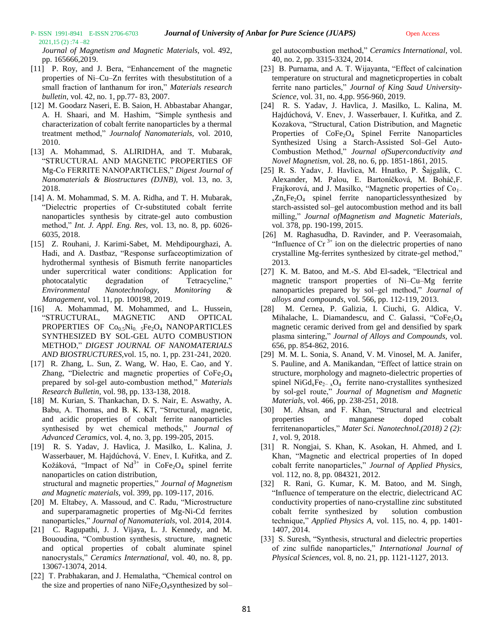*Journal of Magnetism and Magnetic Materials,* vol. 492, pp. 165666,2019.

2021,15 (2) :74 –82

- [11] P. Roy, and J. Bera, "Enhancement of the magnetic properties of Ni–Cu–Zn ferrites with thesubstitution of a small fraction of lanthanum for iron," *Materials research bulletin,* vol. 42, no. 1, pp.77- 83, 2007.
- [12] M. Goodarz Naseri, E. B. Saion, H. Abbastabar Ahangar, A. H. Shaari, and M. Hashim, "Simple synthesis and characterization of cobalt ferrite nanoparticles by a thermal treatment method," *Journalof Nanomaterials,* vol. 2010, 2010.
- [13] A. Mohammad, S. ALIRIDHA, and T. Mubarak, "STRUCTURAL AND MAGNETIC PROPERTIES OF Mg-Co FERRITE NANOPARTICLES," *Digest Journal of Nanomaterials & Biostructures (DJNB),* vol. 13, no. 3, 2018.
- [14] A. M. Mohammad, S. M. A. Ridha, and T. H. Mubarak, "Dielectric properties of Cr-substituted cobalt ferrite nanoparticles synthesis by citrate-gel auto combustion method," *Int. J. Appl. Eng. Res,* vol. 13, no. 8, pp. 6026- 6035, 2018.
- [15] Z. Rouhani, J. Karimi-Sabet, M. Mehdipourghazi, A. Hadi, and A. Dastbaz, "Response surfaceoptimization of hydrothermal synthesis of Bismuth ferrite nanoparticles under supercritical water conditions: Application for photocatalytic degradation of Tetracycline," *Environmental Nanotechnology, Monitoring & Management,* vol. 11, pp. 100198, 2019.
- [16] A. Mohammad, M. Mohammed, and L. Hussein, "STRUCTURAL, MAGNETIC AND OPTICAL PROPERTIES OF  $Co<sub>0.5</sub>Ni<sub>0.5</sub>Fe<sub>2</sub>O<sub>4</sub>$  NANOPARTICLES SYNTHESIZED BY SOL-GEL AUTO COMBUSTION METHOD," *DIGEST JOURNAL OF NANOMATERIALS AND BIOSTRUCTURES,*vol. 15, no. 1, pp. 231-241, 2020.
- [17] R. Zhang, L. Sun, Z. Wang, W. Hao, E. Cao, and Y. Zhang, "Dielectric and magnetic properties of  $\text{CoFe}_2\text{O}_4$ prepared by sol-gel auto-combustion method," *Materials Research Bulletin,* vol. 98, pp. 133-138, 2018.
- [18] M. Kurian, S. Thankachan, D. S. Nair, E. Aswathy, A. Babu, A. Thomas, and B. K. KT, "Structural, magnetic, and acidic properties of cobalt ferrite nanoparticles synthesised by wet chemical methods," *Journal of Advanced Ceramics,* vol. 4, no. 3, pp. 199-205, 2015.
- [19] R. S. Yadav, J. Havlica, J. Masilko, L. Kalina, J. Wasserbauer, M. Hajdúchová, V. Enev, I. Kuřitka, and Z. Kožáková, "Impact of  $Nd^{3+}$  in CoFe<sub>2</sub>O<sub>4</sub> spinel ferrite nanoparticles on cation distribution, structural and magnetic properties," *Journal of Magnetism and Magnetic materials,* vol. 399, pp. 109-117, 2016.
- [20] M. Eltabey, A. Massoud, and C. Radu, "Microstructure and superparamagnetic properties of Mg-Ni-Cd ferrites nanoparticles," *Journal of Nanomaterials,* vol. 2014, 2014.
- [21] C. Ragupathi, J. J. Vijaya, L. J. Kennedy, and M. Bououdina, "Combustion synthesis, structure, magnetic and optical properties of cobalt aluminate spinel nanocrystals," *Ceramics International,* vol. 40, no. 8, pp. 13067-13074, 2014.
- [22] T. Prabhakaran, and J. Hemalatha, "Chemical control on the size and properties of nano  $NiFe<sub>2</sub>O<sub>4</sub>$ synthesized by sol–

gel autocombustion method," *Ceramics International,* vol. 40, no. 2, pp. 3315-3324, 2014.

- [23] B. Purnama, and A. T. Wijayanta, "Effect of calcination" temperature on structural and magneticproperties in cobalt ferrite nano particles," *Journal of King Saud University-Science,* vol. 31, no. 4,pp. 956-960, 2019.
- [24] R. S. Yadav, J. Havlica, J. Masilko, L. Kalina, M. Hajdúchová, V. Enev, J. Wasserbauer, I. Kuřitka, and Z. Kozakova, "Structural, Cation Distribution, and Magnetic Properties of  $CoFe<sub>2</sub>O<sub>4</sub>$  Spinel Ferrite Nanoparticles Synthesized Using a Starch-Assisted Sol–Gel Auto-Combustion Method," *Journal ofSuperconductivity and Novel Magnetism,* vol. 28, no. 6, pp. 1851-1861, 2015.
- [25] R. S. Yadav, J. Havlica, M. Hnatko, P. Šajgalík, C. Alexander, M. Palou, E. Bartoníčková, M. Boháč,F. Frajkorová, and J. Masilko, "Magnetic properties of Co<sub>1−</sub>  $_{x}Zn_{x}Fe_{2}O_{4}$  spinel ferrite nanoparticlessynthesized by starch-assisted sol–gel autocombustion method and its ball milling," *Journal ofMagnetism and Magnetic Materials,* vol. 378, pp. 190-199, 2015.
- [26] M. Raghasudha, D. Ravinder, and P. Veerasomaiah, "Influence of  $Cr<sup>3+</sup>$  ion on the dielectric properties of nano crystalline Mg-ferrites synthesized by citrate-gel method," 2013.
- [27] K. M. Batoo, and M.-S. Abd El-sadek, "Electrical and magnetic transport properties of Ni–Cu–Mg ferrite nanoparticles prepared by sol–gel method," *Journal of alloys and compounds,* vol. 566, pp. 112-119, 2013.
- [28] M. Cernea, P. Galizia, I. Ciuchi, G. Aldica, V. Mihalache, L. Diamandescu, and C. Galassi, "CoFe<sub>2</sub>O<sub>4</sub> magnetic ceramic derived from gel and densified by spark plasma sintering," *Journal of Alloys and Compounds,* vol. 656, pp. 854-862, 2016.
- [29] M. M. L. Sonia, S. Anand, V. M. Vinosel, M. A. Janifer, S. Pauline, and A. Manikandan, "Effect of lattice strain on structure, morphology and magneto-dielectric properties of spinel NiGd<sub>x</sub>Fe<sub>2− x</sub>O<sub>4</sub> ferrite nano-crystallites synthesized by sol-gel route," *Journal of Magnetism and Magnetic Materials,* vol. 466, pp. 238-251, 2018.
- [30] M. Ahsan, and F. Khan, "Structural and electrical properties of manganese doped cobalt ferritenanoparticles," *Mater Sci. Nanotechnol.(2018) 2 (2): 1,* vol. 9, 2018.
- [31] R. Nongjai, S. Khan, K. Asokan, H. Ahmed, and I. Khan, "Magnetic and electrical properties of In doped cobalt ferrite nanoparticles," *Journal of Applied Physics,* vol. 112, no. 8, pp. 084321, 2012.
- [32] R. Rani, G. Kumar, K. M. Batoo, and M. Singh, "Influence of temperature on the electric, dielectricand AC conductivity properties of nano-crystalline zinc substituted cobalt ferrite synthesized by solution combustion technique," *Applied Physics A,* vol. 115, no. 4, pp. 1401- 1407, 2014.
- [33] S. Suresh, "Synthesis, structural and dielectric properties of zinc sulfide nanoparticles," *International Journal of Physical Sciences,* vol. 8, no. 21, pp. 1121-1127, 2013.